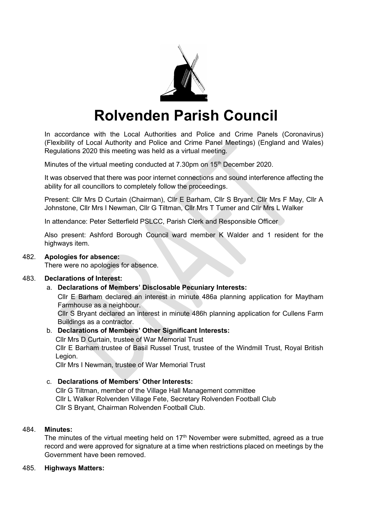

# **Rolvenden Parish Council**

In accordance with the Local Authorities and Police and Crime Panels (Coronavirus) (Flexibility of Local Authority and Police and Crime Panel Meetings) (England and Wales) Regulations 2020 this meeting was held as a virtual meeting.

Minutes of the virtual meeting conducted at 7.30pm on 15<sup>th</sup> December 2020.

It was observed that there was poor internet connections and sound interference affecting the ability for all councillors to completely follow the proceedings.

Present: Cllr Mrs D Curtain (Chairman), Cllr E Barham, Cllr S Bryant, Cllr Mrs F May, Cllr A Johnstone, Cllr Mrs I Newman, Cllr G Tiltman, Cllr Mrs T Turner and Cllr Mrs L Walker

In attendance: Peter Setterfield PSLCC, Parish Clerk and Responsible Officer

Also present: Ashford Borough Council ward member K Walder and 1 resident for the highways item.

#### 482. **Apologies for absence:**

There were no apologies for absence.

### 483. **Declarations of Interest:**

### a. **Declarations of Members' Disclosable Pecuniary Interests:**

Cllr E Barham declared an interest in minute 486a planning application for Maytham Farmhouse as a neighbour.

Cllr S Bryant declared an interest in minute 486h planning application for Cullens Farm Buildings as a contractor.

### b. **Declarations of Members' Other Significant Interests:**

Cllr Mrs D Curtain, trustee of War Memorial Trust Cllr E Barham trustee of Basil Russel Trust, trustee of the Windmill Trust, Royal British Legion.

Cllr Mrs I Newman, trustee of War Memorial Trust

## c. **Declarations of Members' Other Interests:**

Cllr G Tiltman, member of the Village Hall Management committee Cllr L Walker Rolvenden Village Fete, Secretary Rolvenden Football Club Cllr S Bryant, Chairman Rolvenden Football Club.

### 484. **Minutes:**

The minutes of the virtual meeting held on  $17<sup>th</sup>$  November were submitted, agreed as a true record and were approved for signature at a time when restrictions placed on meetings by the Government have been removed.

### 485. **Highways Matters:**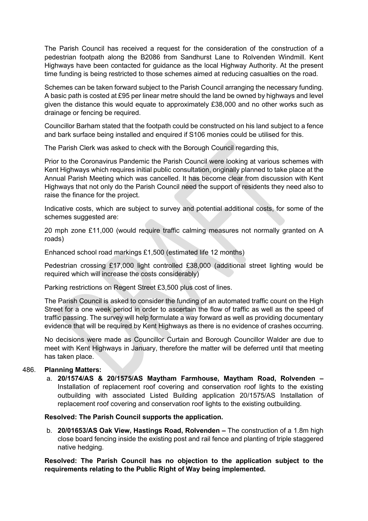The Parish Council has received a request for the consideration of the construction of a pedestrian footpath along the B2086 from Sandhurst Lane to Rolvenden Windmill. Kent Highways have been contacted for guidance as the local Highway Authority. At the present time funding is being restricted to those schemes aimed at reducing casualties on the road.

Schemes can be taken forward subject to the Parish Council arranging the necessary funding. A basic path is costed at £95 per linear metre should the land be owned by highways and level given the distance this would equate to approximately £38,000 and no other works such as drainage or fencing be required.

Councillor Barham stated that the footpath could be constructed on his land subject to a fence and bark surface being installed and enquired if S106 monies could be utilised for this.

The Parish Clerk was asked to check with the Borough Council regarding this,

Prior to the Coronavirus Pandemic the Parish Council were looking at various schemes with Kent Highways which requires initial public consultation, originally planned to take place at the Annual Parish Meeting which was cancelled. It has become clear from discussion with Kent Highways that not only do the Parish Council need the support of residents they need also to raise the finance for the project.

Indicative costs, which are subject to survey and potential additional costs, for some of the schemes suggested are:

20 mph zone £11,000 (would require traffic calming measures not normally granted on A roads)

Enhanced school road markings £1,500 (estimated life 12 months)

Pedestrian crossing £17,000 light controlled £38,000 (additional street lighting would be required which will increase the costs considerably)

Parking restrictions on Regent Street £3,500 plus cost of lines.

The Parish Council is asked to consider the funding of an automated traffic count on the High Street for a one week period in order to ascertain the flow of traffic as well as the speed of traffic passing. The survey will help formulate a way forward as well as providing documentary evidence that will be required by Kent Highways as there is no evidence of crashes occurring.

No decisions were made as Councillor Curtain and Borough Councillor Walder are due to meet with Kent Highways in January, therefore the matter will be deferred until that meeting has taken place.

# 486. **Planning Matters:**

a. **20/1574/AS & 20/1575/AS Maytham Farmhouse, Maytham Road, Rolvenden –** Installation of replacement roof covering and conservation roof lights to the existing outbuilding with associated Listed Building application 20/1575/AS Installation of replacement roof covering and conservation roof lights to the existing outbuilding.

### **Resolved: The Parish Council supports the application.**

b. **20/01653/AS Oak View, Hastings Road, Rolvenden –** The construction of a 1.8m high close board fencing inside the existing post and rail fence and planting of triple staggered native hedging.

**Resolved: The Parish Council has no objection to the application subject to the requirements relating to the Public Right of Way being implemented.**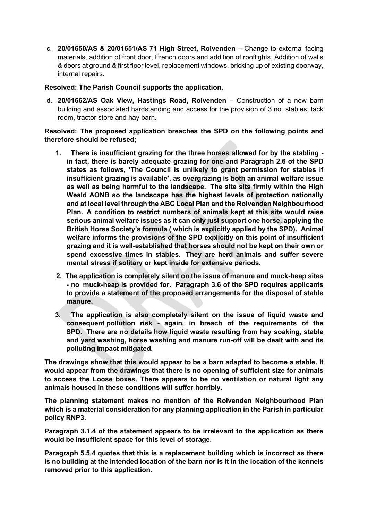c. **20/01650/AS & 20/01651/AS 71 High Street, Rolvenden –** Change to external facing materials, addition of front door, French doors and addition of rooflights. Addition of walls & doors at ground & first floor level, replacement windows, bricking up of existing doorway, internal repairs.

## **Resolved: The Parish Council supports the application.**

d. **20/01662/AS Oak View, Hastings Road, Rolvenden –** Construction of a new barn building and associated hardstanding and access for the provision of 3 no. stables, tack room, tractor store and hay barn.

**Resolved: The proposed application breaches the SPD on the following points and therefore should be refused;**

- **1. There is insufficient grazing for the three horses allowed for by the stabling in fact, there is barely adequate grazing for one and Paragraph 2.6 of the SPD states as follows, 'The Council is unlikely to grant permission for stables if insufficient grazing is available', as overgrazing is both an animal welfare issue as well as being harmful to the landscape. The site sits firmly within the High Weald AONB so the landscape has the highest levels of protection nationally and at local level through the ABC Local Plan and the Rolvenden Neighbourhood Plan. A condition to restrict numbers of animals kept at this site would raise serious animal welfare issues as it can only just support one horse, applying the British Horse Society's formula ( which is explicitly applied by the SPD). Animal welfare informs the provisions of the SPD explicitly on this point of insufficient grazing and it is well-established that horses should not be kept on their own or spend excessive times in stables. They are herd animals and suffer severe mental stress if solitary or kept inside for extensive periods.**
- **2. The application is completely silent on the issue of manure and muck-heap sites - no muck-heap is provided for. Paragraph 3.6 of the SPD requires applicants to provide a statement of the proposed arrangements for the disposal of stable manure.**
- **3. The application is also completely silent on the issue of liquid waste and consequent pollution risk - again, in breach of the requirements of the SPD. There are no details how liquid waste resulting from hay soaking, stable and yard washing, horse washing and manure run-off will be dealt with and its polluting impact mitigated.**

**The drawings show that this would appear to be a barn adapted to become a stable. It would appear from the drawings that there is no opening of sufficient size for animals to access the Loose boxes. There appears to be no ventilation or natural light any animals housed in these conditions will suffer horribly.**

**The planning statement makes no mention of the Rolvenden Neighbourhood Plan which is a material consideration for any planning application in the Parish in particular policy RNP3.**

**Paragraph 3.1.4 of the statement appears to be irrelevant to the application as there would be insufficient space for this level of storage.**

**Paragraph 5.5.4 quotes that this is a replacement building which is incorrect as there is no building at the intended location of the barn nor is it in the location of the kennels removed prior to this application.**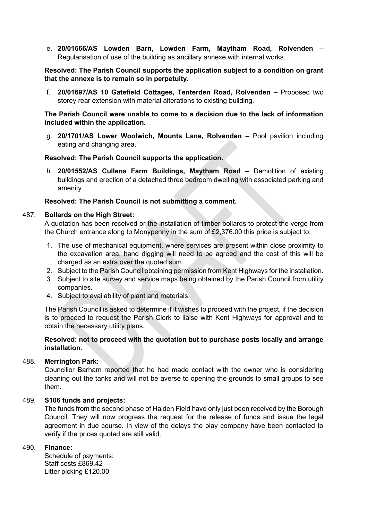e. **20/01666/AS Lowden Barn, Lowden Farm, Maytham Road, Rolvenden –** Regularisation of use of the building as ancillary annexe with internal works.

### **Resolved: The Parish Council supports the application subject to a condition on grant that the annexe is to remain so in perpetuity.**

f. **20/01697/AS 10 Gatefield Cottages, Tenterden Road, Rolvenden –** Proposed two storey rear extension with material alterations to existing building.

### **The Parish Council were unable to come to a decision due to the lack of information included within the application.**

g. **20/1701/AS Lower Woolwich, Mounts Lane, Rolvenden –** Pool pavilion including eating and changing area.

### **Resolved: The Parish Council supports the application.**

h. **20/01552/AS Cullens Farm Buildings, Maytham Road –** Demolition of existing buildings and erection of a detached three bedroom dwelling with associated parking and amenity.

### **Resolved: The Parish Council is not submitting a comment.**

#### 487. **Bollards on the High Street:**

A quotation has been received or the installation of timber bollards to protect the verge from the Church entrance along to Monypenny in the sum of £2,376.00 this price is subject to:

- 1. The use of mechanical equipment, where services are present within close proximity to the excavation area, hand digging will need to be agreed and the cost of this will be charged as an extra over the quoted sum.
- 2. Subject to the Parish Council obtaining permission from Kent Highways for the installation.
- 3. Subject to site survey and service maps being obtained by the Parish Council from utility companies.
- 4. Subject to availability of plant and materials.

The Parish Council is asked to determine if it wishes to proceed with the project, if the decision is to proceed to request the Parish Clerk to liaise with Kent Highways for approval and to obtain the necessary utility plans.

### **Resolved: not to proceed with the quotation but to purchase posts locally and arrange installation.**

#### 488. **Merrington Park:**

Councillor Barham reported that he had made contact with the owner who is considering cleaning out the tanks and will not be averse to opening the grounds to small groups to see them.

### 489. **S106 funds and projects:**

The funds from the second phase of Halden Field have only just been received by the Borough Council. They will now progress the request for the release of funds and issue the legal agreement in due course. In view of the delays the play company have been contacted to verify if the prices quoted are still valid.

#### 490. **Finance:**

Schedule of payments: Staff costs £869.42 Litter picking £120.00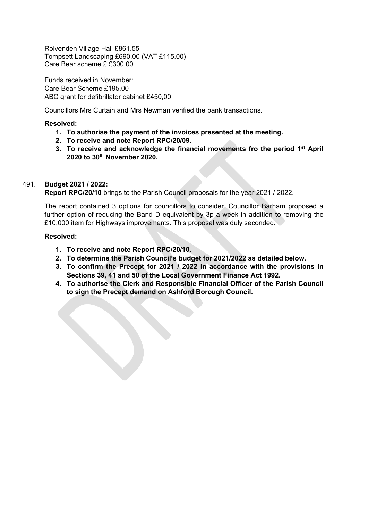Rolvenden Village Hall £861.55 Tompsett Landscaping £690.00 (VAT £115.00) Care Bear scheme £ £300.00

Funds received in November: Care Bear Scheme £195.00 ABC grant for defibrillator cabinet £450,00

Councillors Mrs Curtain and Mrs Newman verified the bank transactions.

## **Resolved:**

- **1. To authorise the payment of the invoices presented at the meeting.**
- **2. To receive and note Report RPC/20/09.**
- **3. To receive and acknowledge the financial movements fro the period 1st April 2020 to 30th November 2020.**

### 491. **Budget 2021 / 2022:**

**Report RPC/20/10** brings to the Parish Council proposals for the year 2021 / 2022.

The report contained 3 options for councillors to consider. Councillor Barham proposed a further option of reducing the Band D equivalent by 3p a week in addition to removing the £10,000 item for Highways improvements. This proposal was duly seconded.

#### **Resolved:**

- **1. To receive and note Report RPC/20/10.**
- **2. To determine the Parish Council's budget for 2021/2022 as detailed below.**
- **3. To confirm the Precept for 2021 / 2022 in accordance with the provisions in Sections 39, 41 and 50 of the Local Government Finance Act 1992.**
- **4. To authorise the Clerk and Responsible Financial Officer of the Parish Council to sign the Precept demand on Ashford Borough Council.**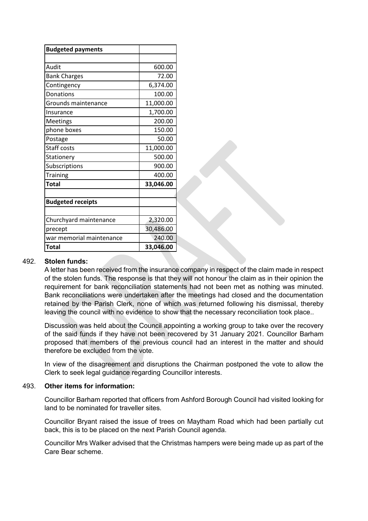| <b>Budgeted payments</b> |           |
|--------------------------|-----------|
|                          |           |
| Audit                    | 600.00    |
| <b>Bank Charges</b>      | 72.00     |
| Contingency              | 6,374.00  |
| Donations                | 100.00    |
| Grounds maintenance      | 11,000.00 |
| Insurance                | 1,700.00  |
| Meetings                 | 200.00    |
| phone boxes              | 150.00    |
| Postage                  | 50.00     |
| Staff costs              | 11,000.00 |
| Stationery               | 500.00    |
| Subscriptions            | 900.00    |
| <b>Training</b>          | 400.00    |
| <b>Total</b>             | 33,046.00 |
|                          |           |
| <b>Budgeted receipts</b> |           |
|                          |           |
| Churchyard maintenance   | 2,320.00  |
| precept                  | 30,486.00 |
| war memorial maintenance | 240.00    |
| <b>Total</b>             | 33,046.00 |

### 492. **Stolen funds:**

A letter has been received from the insurance company in respect of the claim made in respect of the stolen funds. The response is that they will not honour the claim as in their opinion the requirement for bank reconciliation statements had not been met as nothing was minuted. Bank reconciliations were undertaken after the meetings had closed and the documentation retained by the Parish Clerk, none of which was returned following his dismissal, thereby leaving the council with no evidence to show that the necessary reconciliation took place..

Discussion was held about the Council appointing a working group to take over the recovery of the said funds if they have not been recovered by 31 January 2021. Councillor Barham proposed that members of the previous council had an interest in the matter and should therefore be excluded from the vote.

In view of the disagreement and disruptions the Chairman postponed the vote to allow the Clerk to seek legal guidance regarding Councillor interests.

#### 493. **Other items for information:**

Councillor Barham reported that officers from Ashford Borough Council had visited looking for land to be nominated for traveller sites.

Councillor Bryant raised the issue of trees on Maytham Road which had been partially cut back, this is to be placed on the next Parish Council agenda.

Councillor Mrs Walker advised that the Christmas hampers were being made up as part of the Care Bear scheme.